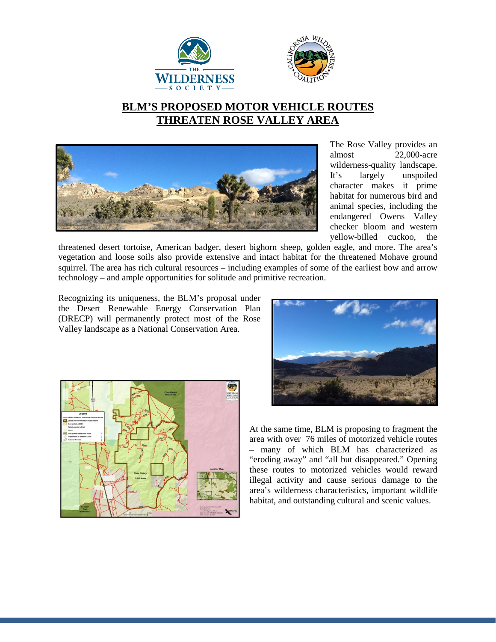



## **BLM'S PROPOSED MOTOR VEHICLE ROUTES THREATEN ROSE VALLEY AREA**



The Rose Valley provides an almost 22,000-acre wilderness-quality landscape. It's largely unspoiled character makes it prime habitat for numerous bird and animal species, including the endangered Owens Valley checker bloom and western yellow-billed cuckoo, the

threatened desert tortoise, American badger, desert bighorn sheep, golden eagle, and more. The area's vegetation and loose soils also provide extensive and intact habitat for the threatened Mohave ground squirrel. The area has rich cultural resources – including examples of some of the earliest bow and arrow technology – and ample opportunities for solitude and primitive recreation.

Recognizing its uniqueness, the BLM's proposal under the Desert Renewable Energy Conservation Plan (DRECP) will permanently protect most of the Rose Valley landscape as a National Conservation Area.



At the same time, BLM is proposing to fragment the area with over 76 miles of motorized vehicle routes – many of which BLM has characterized as "eroding away" and "all but disappeared." Opening these routes to motorized vehicles would reward illegal activity and cause serious damage to the area's wilderness characteristics, important wildlife habitat, and outstanding cultural and scenic values.